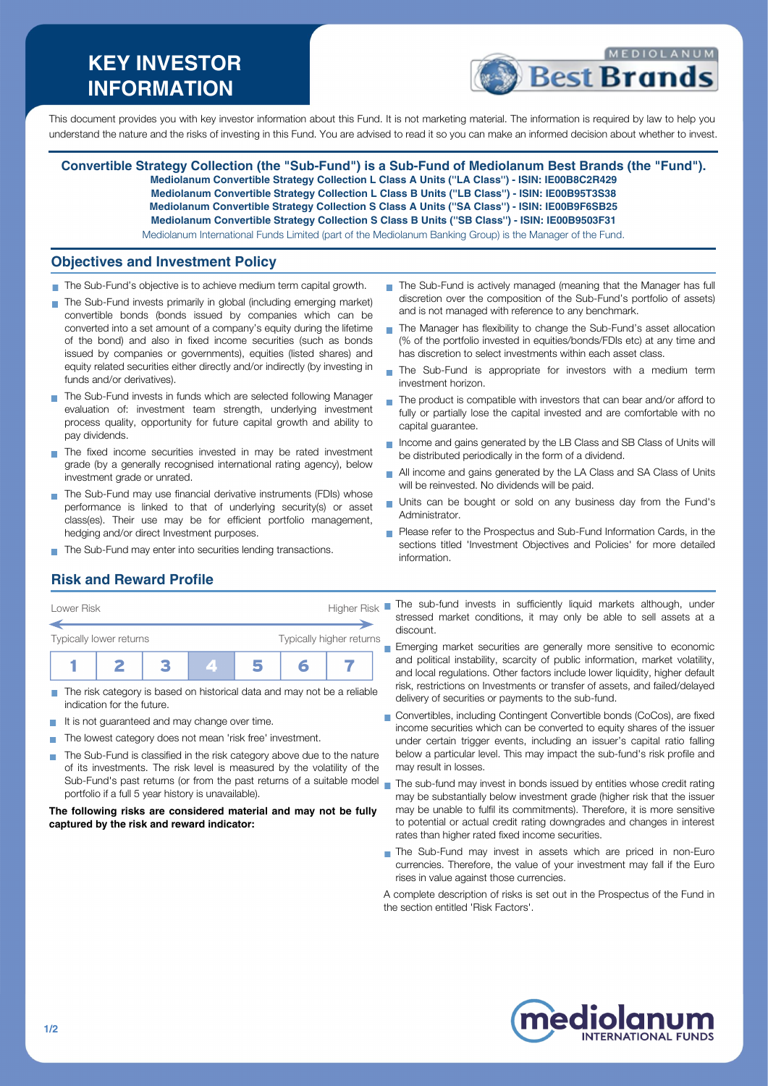# **KEY INVESTOR INFORMATION**



This document provides you with key investor information about this Fund. It is not marketing material. The information is required by law to help you understand the nature and the risks of investing in this Fund. You are advised to read it so you can make an informed decision about whether to invest.

**Convertible Strategy Collection (the "Sub-Fund") is a Sub-Fund of Mediolanum Best Brands (the "Fund"). Mediolanum Convertible Strategy Collection L Class A Units (''LA Class'') - ISIN: IE00B8C2R429 Mediolanum Convertible Strategy Collection L Class B Units (''LB Class'') - ISIN: IE00B95T3S38 Mediolanum Convertible Strategy Collection S Class A Units (''SA Class'') - ISIN: IE00B9F6SB25 Mediolanum Convertible Strategy Collection S Class B Units (''SB Class'') - ISIN: IE00B9503F31** Mediolanum International Funds Limited (part of the Mediolanum Banking Group) is the Manager of the Fund.

### **Objectives and Investment Policy**

- The Sub-Fund's objective is to achieve medium term capital growth.
- The Sub-Fund invests primarily in global (including emerging market) convertible bonds (bonds issued by companies which can be converted into a set amount of a company's equity during the lifetime of the bond) and also in fixed income securities (such as bonds issued by companies or governments), equities (listed shares) and equity related securities either directly and/or indirectly (by investing in funds and/or derivatives).
- The Sub-Fund invests in funds which are selected following Manager evaluation of: investment team strength, underlying investment process quality, opportunity for future capital growth and ability to pay dividends.
- The fixed income securities invested in may be rated investment grade (by a generally recognised international rating agency), below investment grade or unrated.
- The Sub-Fund may use financial derivative instruments (FDIs) whose performance is linked to that of underlying security(s) or asset class(es). Their use may be for efficient portfolio management, hedging and/or direct Investment purposes.
- The Sub-Fund may enter into securities lending transactions.
- The Sub-Fund is actively managed (meaning that the Manager has full discretion over the composition of the Sub-Fund's portfolio of assets) and is not managed with reference to any benchmark.
- The Manager has flexibility to change the Sub-Fund's asset allocation (% of the portfolio invested in equities/bonds/FDIs etc) at any time and has discretion to select investments within each asset class.
- The Sub-Fund is appropriate for investors with a medium term  $\blacksquare$ investment horizon.
- The product is compatible with investors that can bear and/or afford to Ħ fully or partially lose the capital invested and are comfortable with no capital guarantee.
- Income and gains generated by the LB Class and SB Class of Units will be distributed periodically in the form of a dividend.
- All income and gains generated by the LA Class and SA Class of Units will be reinvested. No dividends will be paid.
- Units can be bought or sold on any business day from the Fund's Administrator.
- Please refer to the Prospectus and Sub-Fund Information Cards, in the sections titled 'Investment Objectives and Policies' for more detailed information.

# **Risk and Reward Profile**



- The risk category is based on historical data and may not be a reliable m. indication for the future.
- It is not guaranteed and may change over time.  $\sim$
- The lowest category does not mean 'risk free' investment. T.
- The Sub-Fund is classified in the risk category above due to the nature of its investments. The risk level is measured by the volatility of the Sub-Fund's past returns (or from the past returns of a suitable model portfolio if a full 5 year history is unavailable).

#### **The following risks are considered material and may not be fully captured by the risk and reward indicator:**

stressed market conditions, it may only be able to sell assets at a discount.

Emerging market securities are generally more sensitive to economic and political instability, scarcity of public information, market volatility, and local regulations. Other factors include lower liquidity, higher default risk, restrictions on Investments or transfer of assets, and failed/delayed delivery of securities or payments to the sub-fund.

- Convertibles, including Contingent Convertible bonds (CoCos), are fixed income securities which can be converted to equity shares of the issuer under certain trigger events, including an issuer's capital ratio falling below a particular level. This may impact the sub-fund's risk profile and may result in losses.
- The sub-fund may invest in bonds issued by entities whose credit rating  $\blacksquare$ may be substantially below investment grade (higher risk that the issuer may be unable to fulfil its commitments). Therefore, it is more sensitive to potential or actual credit rating downgrades and changes in interest rates than higher rated fixed income securities.
- The Sub-Fund may invest in assets which are priced in non-Euro currencies. Therefore, the value of your investment may fall if the Euro rises in value against those currencies.
- A complete description of risks is set out in the Prospectus of the Fund in the section entitled 'Risk Factors'.